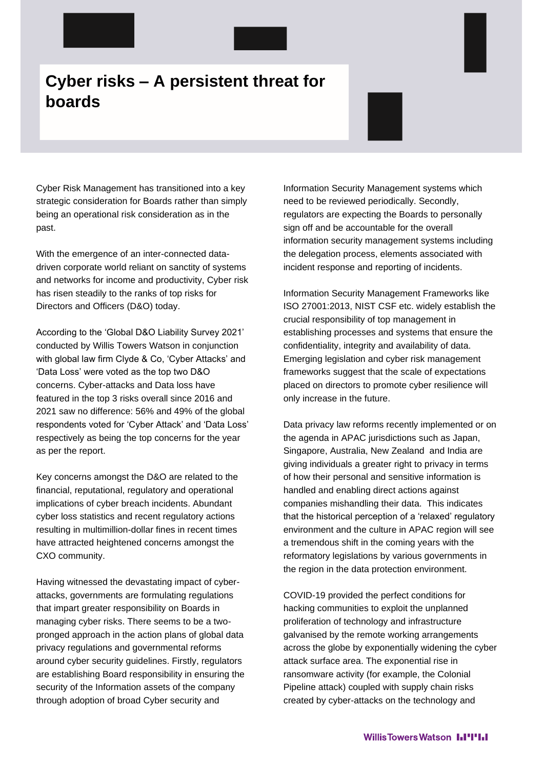## **Cyber risks – A persistent threat for boards**

Cyber Risk Management has transitioned into a key strategic consideration for Boards rather than simply being an operational risk consideration as in the past.

With the emergence of an inter-connected datadriven corporate world reliant on sanctity of systems and networks for income and productivity, Cyber risk has risen steadily to the ranks of top risks for Directors and Officers (D&O) today.

According to the 'Global D&O Liability Survey 2021' conducted by Willis Towers Watson in conjunction with global law firm Clyde & Co, 'Cyber Attacks' and 'Data Loss' were voted as the top two D&O concerns. Cyber-attacks and Data loss have featured in the top 3 risks overall since 2016 and 2021 saw no difference: 56% and 49% of the global respondents voted for 'Cyber Attack' and 'Data Loss' respectively as being the top concerns for the year as per the report.

Key concerns amongst the D&O are related to the financial, reputational, regulatory and operational implications of cyber breach incidents. Abundant cyber loss statistics and recent regulatory actions resulting in multimillion-dollar fines in recent times have attracted heightened concerns amongst the CXO community.

Having witnessed the devastating impact of cyberattacks, governments are formulating regulations that impart greater responsibility on Boards in managing cyber risks. There seems to be a twopronged approach in the action plans of global data privacy regulations and governmental reforms around cyber security guidelines. Firstly, regulators are establishing Board responsibility in ensuring the security of the Information assets of the company through adoption of broad Cyber security and

Information Security Management systems which need to be reviewed periodically. Secondly, regulators are expecting the Boards to personally sign off and be accountable for the overall information security management systems including the delegation process, elements associated with incident response and reporting of incidents.

Information Security Management Frameworks like ISO 27001:2013, NIST CSF etc. widely establish the crucial responsibility of top management in establishing processes and systems that ensure the confidentiality, integrity and availability of data. Emerging legislation and cyber risk management frameworks suggest that the scale of expectations placed on directors to promote cyber resilience will only increase in the future.

Data privacy law reforms recently implemented or on the agenda in APAC jurisdictions such as Japan, Singapore, Australia, New Zealand and India are giving individuals a greater right to privacy in terms of how their personal and sensitive information is handled and enabling direct actions against companies mishandling their data. This indicates that the historical perception of a 'relaxed' regulatory environment and the culture in APAC region will see a tremendous shift in the coming years with the reformatory legislations by various governments in the region in the data protection environment.

COVID-19 provided the perfect conditions for hacking communities to exploit the unplanned proliferation of technology and infrastructure galvanised by the remote working arrangements across the globe by exponentially widening the cyber attack surface area. The exponential rise in ransomware activity (for example, the Colonial Pipeline attack) coupled with supply chain risks created by cyber-attacks on the technology and